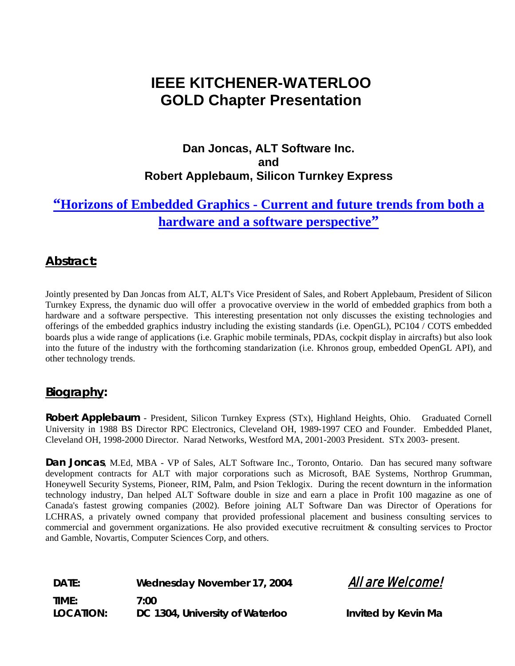# **IEEE KITCHENER-WATERLOO GOLD Chapter Presentation**

### **Dan Joncas, ALT Software Inc. and Robert Applebaum, Silicon Turnkey Express**

## **"Horizons of Embedded Graphics - Current and future trends from both a hardware and a software perspective"**

#### **Abstract:**

Jointly presented by Dan Joncas from ALT, ALT's Vice President of Sales, and Robert Applebaum, President of Silicon Turnkey Express, the dynamic duo will offer a provocative overview in the world of embedded graphics from both a hardware and a software perspective. This interesting presentation not only discusses the existing technologies and offerings of the embedded graphics industry including the existing standards (i.e. OpenGL), PC104 / COTS embedded boards plus a wide range of applications (i.e. Graphic mobile terminals, PDAs, cockpit display in aircrafts) but also look into the future of the industry with the forthcoming standarization (i.e. Khronos group, embedded OpenGL API), and other technology trends.

#### **Biography:**

**Robert Applebaum** - President, Silicon Turnkey Express (STx), Highland Heights, Ohio. Graduated Cornell University in 1988 BS Director RPC Electronics, Cleveland OH, 1989-1997 CEO and Founder. Embedded Planet, Cleveland OH, 1998-2000 Director. Narad Networks, Westford MA, 2001-2003 President. STx 2003- present.

**Dan Joncas**, M.Ed, MBA - VP of Sales, ALT Software Inc., Toronto, Ontario. Dan has secured many software development contracts for ALT with major corporations such as Microsoft, BAE Systems, Northrop Grumman, Honeywell Security Systems, Pioneer, RIM, Palm, and Psion Teklogix. During the recent downturn in the information technology industry, Dan helped ALT Software double in size and earn a place in Profit 100 magazine as one of Canada's fastest growing companies (2002). Before joining ALT Software Dan was Director of Operations for LCHRAS, a privately owned company that provided professional placement and business consulting services to commercial and government organizations. He also provided executive recruitment & consulting services to Proctor and Gamble, Novartis, Computer Sciences Corp, and others.

**DATE:** Wednesday November 17, 2004 **All are Welcome! TIME: 7:00**  LOCATION: DC 1304, University of Waterloo **Invited by Kevin Ma**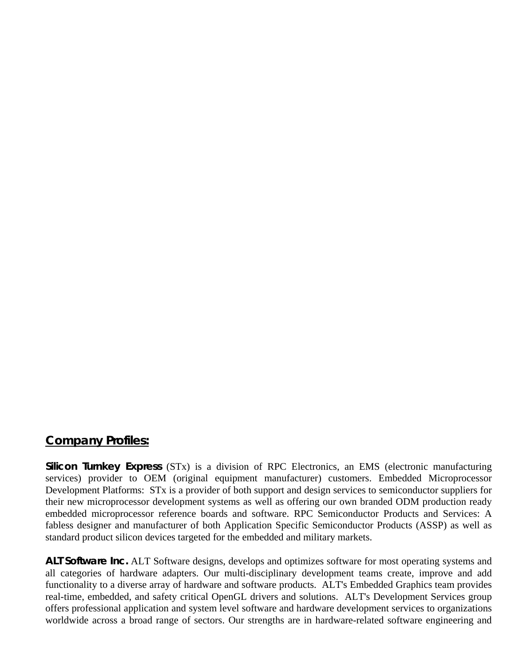#### **Company Profiles:**

**Silicon Turnkey Express** (STx) is a division of RPC Electronics, an EMS (electronic manufacturing services) provider to OEM (original equipment manufacturer) customers. Embedded Microprocessor Development Platforms: STx is a provider of both support and design services to semiconductor suppliers for their new microprocessor development systems as well as offering our own branded ODM production ready embedded microprocessor reference boards and software. RPC Semiconductor Products and Services: A fabless designer and manufacturer of both Application Specific Semiconductor Products (ASSP) as well as standard product silicon devices targeted for the embedded and military markets.

**ALT Software Inc.** ALT Software designs, develops and optimizes software for most operating systems and all categories of hardware adapters. Our multi-disciplinary development teams create, improve and add functionality to a diverse array of hardware and software products. ALT's Embedded Graphics team provides real-time, embedded, and safety critical OpenGL drivers and solutions. ALT's Development Services group offers professional application and system level software and hardware development services to organizations worldwide across a broad range of sectors. Our strengths are in hardware-related software engineering and